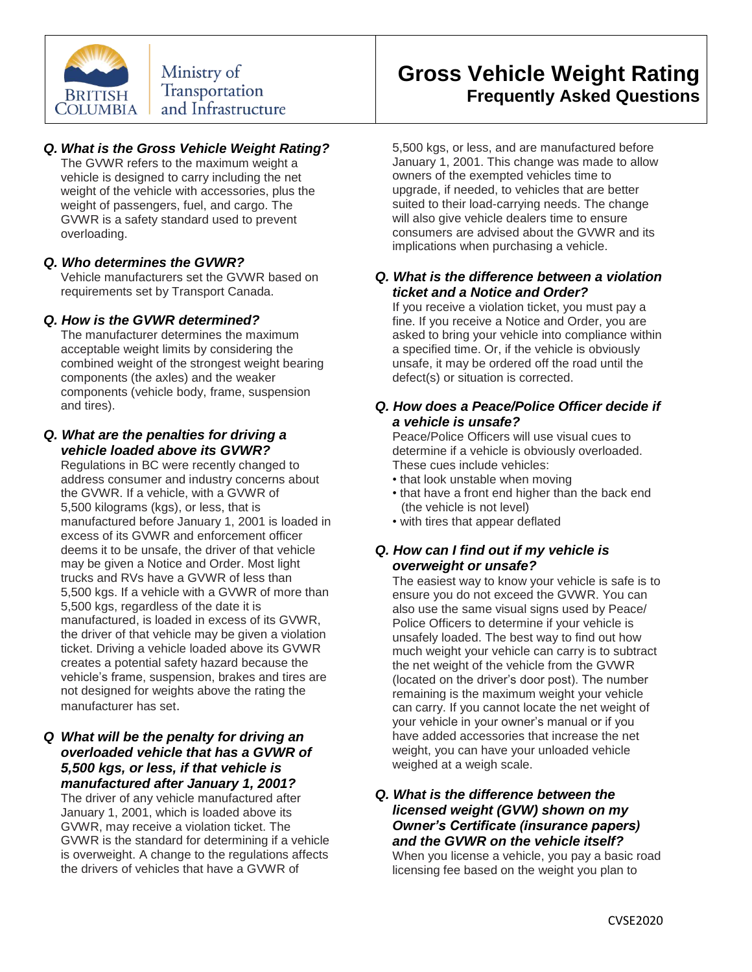

# *Q. What is the Gross Vehicle Weight Rating?*

The GVWR refers to the maximum weight a vehicle is designed to carry including the net weight of the vehicle with accessories, plus the weight of passengers, fuel, and cargo. The GVWR is a safety standard used to prevent overloading.

# *Q. Who determines the GVWR?*

Vehicle manufacturers set the GVWR based on requirements set by Transport Canada.

# *Q. How is the GVWR determined?*

The manufacturer determines the maximum acceptable weight limits by considering the combined weight of the strongest weight bearing components (the axles) and the weaker components (vehicle body, frame, suspension and tires).

#### *Q. What are the penalties for driving a vehicle loaded above its GVWR?*

Regulations in BC were recently changed to address consumer and industry concerns about the GVWR. If a vehicle, with a GVWR of 5,500 kilograms (kgs), or less, that is manufactured before January 1, 2001 is loaded in excess of its GVWR and enforcement officer deems it to be unsafe, the driver of that vehicle may be given a Notice and Order. Most light trucks and RVs have a GVWR of less than 5,500 kgs. If a vehicle with a GVWR of more than 5,500 kgs, regardless of the date it is manufactured, is loaded in excess of its GVWR, the driver of that vehicle may be given a violation ticket. Driving a vehicle loaded above its GVWR creates a potential safety hazard because the vehicle's frame, suspension, brakes and tires are not designed for weights above the rating the manufacturer has set.

### *Q What will be the penalty for driving an overloaded vehicle that has a GVWR of 5,500 kgs, or less, if that vehicle is manufactured after January 1, 2001?*

The driver of any vehicle manufactured after January 1, 2001, which is loaded above its GVWR, may receive a violation ticket. The GVWR is the standard for determining if a vehicle is overweight. A change to the regulations affects the drivers of vehicles that have a GVWR of

# **Gross Vehicle Weight Rating Frequently Asked Questions**

5,500 kgs, or less, and are manufactured before January 1, 2001. This change was made to allow owners of the exempted vehicles time to upgrade, if needed, to vehicles that are better suited to their load-carrying needs. The change will also give vehicle dealers time to ensure consumers are advised about the GVWR and its implications when purchasing a vehicle.

### *Q. What is the difference between a violation ticket and a Notice and Order?*

If you receive a violation ticket, you must pay a fine. If you receive a Notice and Order, you are asked to bring your vehicle into compliance within a specified time. Or, if the vehicle is obviously unsafe, it may be ordered off the road until the defect(s) or situation is corrected.

### *Q. How does a Peace/Police Officer decide if a vehicle is unsafe?*

Peace/Police Officers will use visual cues to determine if a vehicle is obviously overloaded. These cues include vehicles:

- that look unstable when moving
- that have a front end higher than the back end (the vehicle is not level)
- with tires that appear deflated

# *Q. How can I find out if my vehicle is overweight or unsafe?*

The easiest way to know your vehicle is safe is to ensure you do not exceed the GVWR. You can also use the same visual signs used by Peace/ Police Officers to determine if your vehicle is unsafely loaded. The best way to find out how much weight your vehicle can carry is to subtract the net weight of the vehicle from the GVWR (located on the driver's door post). The number remaining is the maximum weight your vehicle can carry. If you cannot locate the net weight of your vehicle in your owner's manual or if you have added accessories that increase the net weight, you can have your unloaded vehicle weighed at a weigh scale.

# *Q. What is the difference between the licensed weight (GVW) shown on my Owner's Certificate (insurance papers) and the GVWR on the vehicle itself?*

When you license a vehicle, you pay a basic road licensing fee based on the weight you plan to